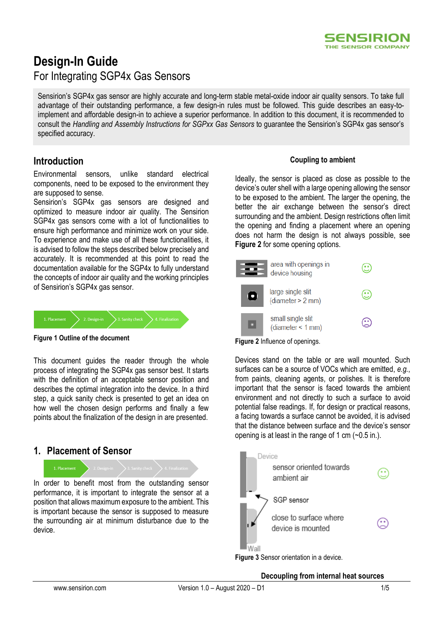# **Design-In Guide** For Integrating SGP4x Gas Sensors

Sensirion's SGP4x gas sensor are highly accurate and long-term stable metal-oxide indoor air quality sensors. To take full advantage of their outstanding performance, a few design-in rules must be followed. This guide describes an easy-toimplement and affordable design-in to achieve a superior performance. In addition to this document, it is recommended to consult the *Handling and Assembly Instructions for SGPxx Gas Sensors* to guarantee the Sensirion's SGP4x gas sensor's specified accuracy.

## **Introduction**

Environmental sensors, unlike standard electrical components, need to be exposed to the environment they are supposed to sense.

Sensirion's SGP4x gas sensors are designed and optimized to measure indoor air quality. The Sensirion SGP4x gas sensors come with a lot of functionalities to ensure high performance and minimize work on your side. To experience and make use of all these functionalities, it is advised to follow the steps described below precisely and accurately. It is recommended at this point to read the documentation available for the SGP4x to fully understand the concepts of indoor air quality and the working principles of Sensirion's SGP4x gas sensor*.* 



**Figure 1 Outline of the document**

This document guides the reader through the whole process of integrating the SGP4x gas sensor best. It starts with the definition of an acceptable sensor position and describes the optimal integration into the device. In a third step, a quick sanity check is presented to get an idea on how well the chosen design performs and finally a few points about the finalization of the design in are presented.

## **1. Placement of Sensor**

1. Placement

In order to benefit most from the outstanding sensor performance, it is important to integrate the sensor at a position that allows maximum exposure to the ambient. This is important because the sensor is supposed to measure the surrounding air at minimum disturbance due to the device.

### **Coupling to ambient**

SENSIRION THE SENSOR COMPANY

Ideally, the sensor is placed as close as possible to the device's outer shell with a large opening allowing the sensor to be exposed to the ambient. The larger the opening, the better the air exchange between the sensor's direct surrounding and the ambient. Design restrictions often limit the opening and finding a placement where an opening does not harm the design is not always possible, see **[Figure 2](#page-0-0)** for some opening options.



<span id="page-0-0"></span>

Devices stand on the table or are wall mounted. Such surfaces can be a source of VOCs which are emitted, *e.g.*, from paints, cleaning agents, or polishes. It is therefore important that the sensor is faced towards the ambient environment and not directly to such a surface to avoid potential false readings. If, for design or practical reasons, a facing towards a surface cannot be avoided, it is advised that the distance between surface and the device's sensor opening is at least in the range of 1 cm  $(-0.5 \text{ in.})$ .



**Figure 3** Sensor orientation in a device.

### **Decoupling from internal heat sources**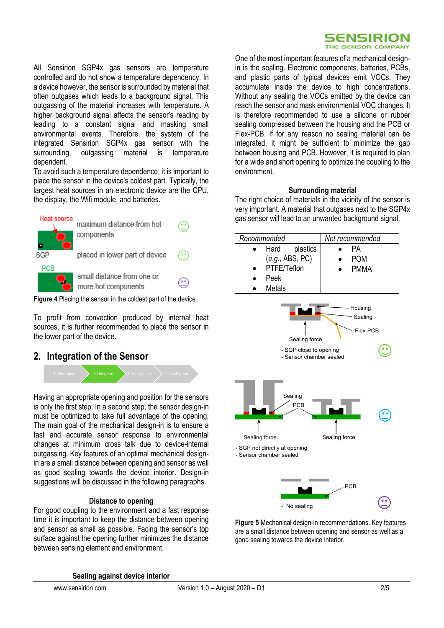

All Sensirion SGP4x gas sensors are temperature controlled and do not show a temperature dependency. In a device however, the sensor is surrounded by material that often outgases which leads to a background signal. This outgassing of the material increases with temperature. A higher background signal affects the sensor's reading by leading to a constant signal and masking small environmental events. Therefore, the system of the integrated Sensirion SGP4x gas sensor with the surrounding, outgassing material is temperature dependent.

To avoid such a temperature dependence, it is important to place the sensor in the device's coldest part. Typically, the largest heat sources in an electronic device are the CPU, the display, the Wifi module, and batteries.



**Figure 4** Placing the sensor in the coldest part of the device.

To profit from convection produced by internal heat sources, it is further recommended to place the sensor in the lower part of the device.

### **2. Integration of the Sensor**



Having an appropriate opening and position for the sensors is only the first step. In a second step, the sensor design-in must be optimized to take full advantage of the opening. The main goal of the mechanical design-in is to ensure a fast and accurate sensor response to environmental changes at minimum cross talk due to device-internal outgassing. Key features of an optimal mechanical designin are a small distance between opening and sensor as well as good sealing towards the device interior. Design-in suggestions will be discussed in the following paragraphs.

### **Distance to opening**

For good coupling to the environment and a fast response time it is important to keep the distance between opening and sensor as small as possible. Facing the sensor's top surface against the opening further minimizes the distance between sensing element and environment.

One of the most important features of a mechanical designin is the sealing. Electronic components, batteries, PCBs, and plastic parts of typical devices emit VOCs. They accumulate inside the device to high concentrations. Without any sealing the VOCs emitted by the device can reach the sensor and mask environmental VOC changes. It is therefore recommended to use a silicone or rubber sealing compressed between the housing and the PCB or Flex-PCB. If for any reason no sealing material can be integrated, it might be sufficient to minimize the gap between housing and PCB. However, it is required to plan for a wide and short opening to optimize the coupling to the environment.

### **Surrounding material**

The right choice of materials in the vicinity of the sensor is very important. A material that outgases next to the SGP4x gas sensor will lead to an unwanted background signal.



**Figure 5** Mechanical design-in recommendations. Key features are a small distance between opening and sensor as well as a good sealing towards the device interior.

**Sealing against device interior**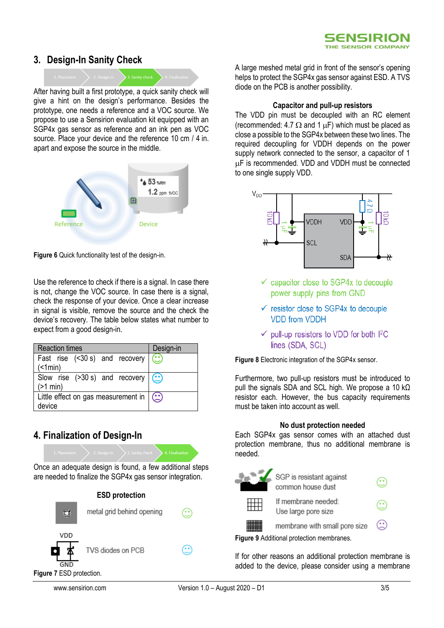## **3. Design-In Sanity Check**



After having built a first prototype, a quick sanity check will give a hint on the design's performance. Besides the prototype, one needs a reference and a VOC source. We propose to use a Sensirion evaluation kit equipped with an SGP4x gas sensor as reference and an ink pen as VOC source. Place your device and the reference 10 cm / 4 in. apart and expose the source in the middle.



**Figure 6** Quick functionality test of the design-in.

Use the reference to check if there is a signal. In case there is not, change the VOC source. In case there is a signal, check the response of your device. Once a clear increase in signal is visible, remove the source and the check the device's recovery. The table below states what number to expect from a good design-in.

| <b>Reaction times</b>                                       | Design-in |
|-------------------------------------------------------------|-----------|
| Fast rise $($ <30 s) and recovery $\circ$<br>(              |           |
| Slow rise $($ >30 s) and recovery $($ $\bullet$<br>(>1 min) |           |
| Little effect on gas measurement in $(\cdot)$<br>device     |           |

## **4. Finalization of Design-In**

Once an adequate design is found, a few additional steps are needed to finalize the SGP4x gas sensor integration.



A large meshed metal grid in front of the sensor's opening helps to protect the SGP4x gas sensor against ESD. A TVS diode on the PCB is another possibility.

### **Capacitor and pull-up resistors**

The VDD pin must be decoupled with an RC element (recommended: 4.7  $\Omega$  and 1  $\mu$ F) which must be placed as close a possible to the SGP4x between these two lines. The required decoupling for VDDH depends on the power supply network connected to the sensor, a capacitor of 1 F is recommended. VDD and VDDH must be connected to one single supply VDD.



- $\checkmark$  capacitor close to SGP4x to decouple power supply pins from GND
- $\checkmark$  resistor close to SGP4x to decouple **VDD from VDDH**
- $\checkmark$  pull-up resistors to VDD for both I<sup>2</sup>C lines (SDA, SCL)

**Figure 8** Electronic integration of the SGP4x sensor.

Furthermore, two pull-up resistors must be introduced to pull the signals SDA and SCL high. We propose a 10 kΩ resistor each. However, the bus capacity requirements must be taken into account as well.

### **No dust protection needed**

Each SGP4x gas sensor comes with an attached dust protection membrane, thus no additional membrane is needed.



If for other reasons an additional protection membrane is added to the device, please consider using a membrane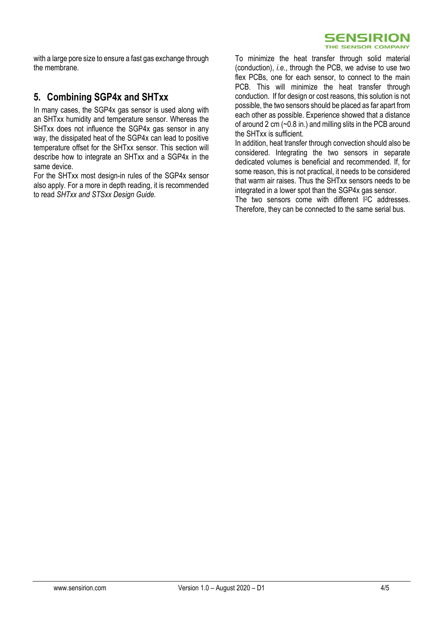

with a large pore size to ensure a fast gas exchange through the membrane.

## **5. Combining SGP4x and SHTxx**

In many cases, the SGP4x gas sensor is used along with an SHTxx humidity and temperature sensor. Whereas the SHTxx does not influence the SGP4x gas sensor in any way, the dissipated heat of the SGP4x can lead to positive temperature offset for the SHTxx sensor. This section will describe how to integrate an SHTxx and a SGP4x in the same device.

For the SHTxx most design-in rules of the SGP4x sensor also apply. For a more in depth reading, it is recommended to read *SHTxx and STSxx Design Guide.* 

To minimize the heat transfer through solid material (conduction), *i.e.*, through the PCB, we advise to use two flex PCBs, one for each sensor, to connect to the main PCB. This will minimize the heat transfer through conduction. If for design or cost reasons, this solution is not possible, the two sensors should be placed as far apart from each other as possible. Experience showed that a distance of around 2 cm  $(-0.8 \text{ in.})$  and milling slits in the PCB around the SHTxx is sufficient.

In addition, heat transfer through convection should also be considered. Integrating the two sensors in separate dedicated volumes is beneficial and recommended. If, for some reason, this is not practical, it needs to be considered that warm air raises. Thus the SHTxx sensors needs to be integrated in a lower spot than the SGP4x gas sensor.

The two sensors come with different I<sup>2</sup>C addresses. Therefore, they can be connected to the same serial bus.